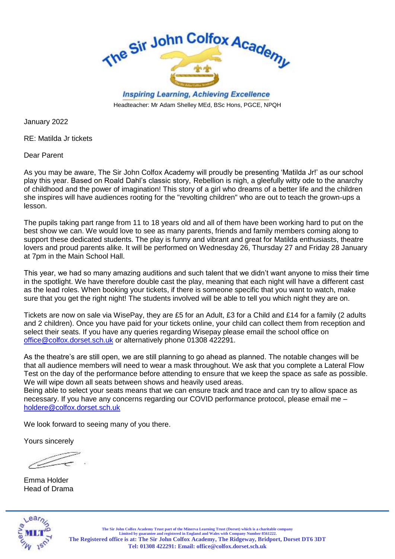

Headteacher: Mr Adam Shelley MEd, BSc Hons, PGCE, NPQH

January 2022

RE: Matilda Jr tickets

Dear Parent

As you may be aware, The Sir John Colfox Academy will proudly be presenting 'Matilda Jr!' as our school play this year. Based on Roald Dahl's classic story, Rebellion is nigh, a gleefully witty ode to the anarchy of childhood and the power of imagination! This story of a girl who dreams of a better life and the children she inspires will have audiences rooting for the "revolting children" who are out to teach the grown-ups a lesson.

The pupils taking part range from 11 to 18 years old and all of them have been working hard to put on the best show we can. We would love to see as many parents, friends and family members coming along to support these dedicated students. The play is funny and vibrant and great for Matilda enthusiasts, theatre lovers and proud parents alike. It will be performed on Wednesday 26, Thursday 27 and Friday 28 January at 7pm in the Main School Hall.

This year, we had so many amazing auditions and such talent that we didn't want anyone to miss their time in the spotlight. We have therefore double cast the play, meaning that each night will have a different cast as the lead roles. When booking your tickets, if there is someone specific that you want to watch, make sure that you get the right night! The students involved will be able to tell you which night they are on.

Tickets are now on sale via WisePay, they are £5 for an Adult, £3 for a Child and £14 for a family (2 adults and 2 children). Once you have paid for your tickets online, your child can collect them from reception and select their seats. If you have any queries regarding Wisepay please email the school office on [office@colfox.dorset.sch.uk](mailto:office@colfox.dorset.sch.uk) or alternatively phone 01308 422291.

As the theatre's are still open, we are still planning to go ahead as planned. The notable changes will be that all audience members will need to wear a mask throughout. We ask that you complete a Lateral Flow Test on the day of the performance before attending to ensure that we keep the space as safe as possible. We will wipe down all seats between shows and heavily used areas.

Being able to select your seats means that we can ensure track and trace and can try to allow space as necessary. If you have any concerns regarding our COVID performance protocol, please email me – [holdere@colfox.dorset.sch.uk](mailto:holdere@colfox.dorset.sch.uk)

We look forward to seeing many of you there.

Yours sincerely

Emma Holder Head of Drama



**The Sir John Colfox Academy Trust part of the Minerva Learning Trust (Dorset) which is a charitable company Limited by guarantee and registered in England and Wales with Company Number 8561222. The Registered office is at: The Sir John Colfox Academy, The Ridgeway, Bridport, Dorset DT6 3DT Tel: 01308 422291: Email[: office@colfox.dorset.sch.uk](mailto:office@colfox.dorset.sch.uk)**